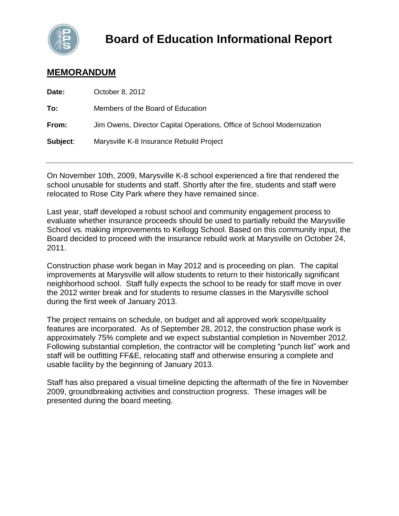

# **MEMORANDUM**

| Date:    | October 8, 2012                                                        |
|----------|------------------------------------------------------------------------|
| To:      | Members of the Board of Education                                      |
| From:    | Jim Owens, Director Capital Operations, Office of School Modernization |
| Subject: | Marysville K-8 Insurance Rebuild Project                               |

On November 10th, 2009, Marysville K-8 school experienced a fire that rendered the school unusable for students and staff. Shortly after the fire, students and staff were relocated to Rose City Park where they have remained since.

Last year, staff developed a robust school and community engagement process to evaluate whether insurance proceeds should be used to partially rebuild the Marysville School vs. making improvements to Kellogg School. Based on this community input, the Board decided to proceed with the insurance rebuild work at Marysville on October 24, 2011.

Construction phase work began in May 2012 and is proceeding on plan. The capital improvements at Marysville will allow students to return to their historically significant neighborhood school. Staff fully expects the school to be ready for staff move in over the 2012 winter break and for students to resume classes in the Marysville school during the first week of January 2013.

The project remains on schedule, on budget and all approved work scope/quality features are incorporated. As of September 28, 2012, the construction phase work is approximately 75% complete and we expect substantial completion in November 2012. Following substantial completion, the contractor will be completing "punch list" work and staff will be outfitting FF&E, relocating staff and otherwise ensuring a complete and usable facility by the beginning of January 2013.

Staff has also prepared a visual timeline depicting the aftermath of the fire in November 2009, groundbreaking activities and construction progress. These images will be presented during the board meeting.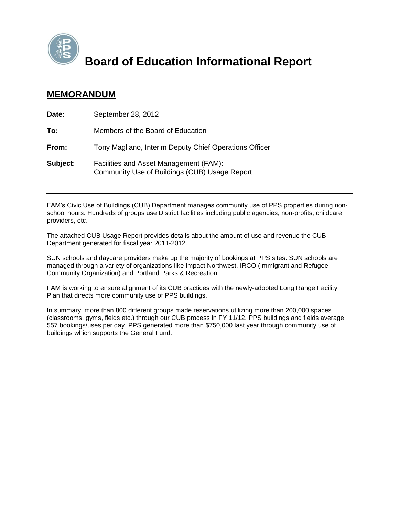

**Board of Education Informational Report**

# **MEMORANDUM**

| Date:    | September 28, 2012                                                                      |
|----------|-----------------------------------------------------------------------------------------|
| To:      | Members of the Board of Education                                                       |
| From:    | Tony Magliano, Interim Deputy Chief Operations Officer                                  |
| Subject: | Facilities and Asset Management (FAM):<br>Community Use of Buildings (CUB) Usage Report |

FAM's Civic Use of Buildings (CUB) Department manages community use of PPS properties during nonschool hours. Hundreds of groups use District facilities including public agencies, non-profits, childcare providers, etc.

The attached CUB Usage Report provides details about the amount of use and revenue the CUB Department generated for fiscal year 2011-2012.

SUN schools and daycare providers make up the majority of bookings at PPS sites. SUN schools are managed through a variety of organizations like Impact Northwest, IRCO (Immigrant and Refugee Community Organization) and Portland Parks & Recreation.

FAM is working to ensure alignment of its CUB practices with the newly-adopted Long Range Facility Plan that directs more community use of PPS buildings.

In summary, more than 800 different groups made reservations utilizing more than 200,000 spaces (classrooms, gyms, fields etc.) through our CUB process in FY 11/12. PPS buildings and fields average 557 bookings/uses per day. PPS generated more than \$750,000 last year through community use of buildings which supports the General Fund.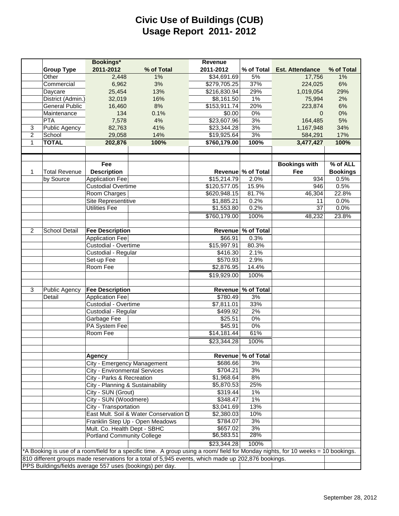# **Civic Use of Buildings (CUB) Usage Report 2011- 2012**

|                |                       | Bookings*                            |                                                                                                                                   | Revenue      |                    |                        |                 |
|----------------|-----------------------|--------------------------------------|-----------------------------------------------------------------------------------------------------------------------------------|--------------|--------------------|------------------------|-----------------|
|                | <b>Group Type</b>     | 2011-2012                            | % of Total                                                                                                                        | 2011-2012    | % of Total         | <b>Est. Attendance</b> | % of Total      |
|                | Other                 | 2,448                                | 1%                                                                                                                                | \$34,691.69  | 5%                 | 17,756                 | 1%              |
|                | Commercial            | 6,962                                | 3%                                                                                                                                | \$279,705.25 | 37%                | 224,025                | 6%              |
|                | Daycare               | 25,454                               | 13%                                                                                                                               | \$216,830.94 | 29%                | 1,019,054              | 29%             |
|                | District (Admin.)     | 32,019                               | 16%                                                                                                                               | \$8,161.50   | 1%                 | 75,994                 | 2%              |
|                | <b>General Public</b> | 16,460                               | 8%                                                                                                                                | \$153,911.74 | 20%                | 223,874                | 6%              |
|                | Maintenance           | 134                                  | 0.1%                                                                                                                              | \$0.00       | $0\%$              | $\mathbf{0}$           | 0%              |
|                | <b>PTA</b>            | 7,578                                | 4%                                                                                                                                | \$23,607.96  | 3%                 | 164,485                | 5%              |
| 3              | Public Agency         | 82,763                               | 41%                                                                                                                               | \$23,344.28  | 3%                 | 1,167,948              | 34%             |
| $\overline{c}$ | School                | 29,058                               | 14%                                                                                                                               | \$19,925.64  | 3%                 | 584,291                | 17%             |
| 1              | <b>TOTAL</b>          | 202,876                              | 100%                                                                                                                              | \$760,179.00 | 100%               | 3,477,427              | 100%            |
|                |                       |                                      |                                                                                                                                   |              |                    |                        |                 |
|                |                       |                                      |                                                                                                                                   |              |                    |                        |                 |
|                |                       | Fee                                  |                                                                                                                                   |              |                    | <b>Bookings with</b>   | % of ALL        |
| 1              | <b>Total Revenue</b>  | <b>Description</b>                   |                                                                                                                                   |              | Revenue % of Total | Fee                    | <b>Bookings</b> |
|                | by Source             | <b>Application Fee</b>               |                                                                                                                                   | \$15,214.79  | 2.0%               | 934                    | 0.5%            |
|                |                       | <b>Custodial Overtime</b>            |                                                                                                                                   | \$120,577.05 | 15.9%              | 946                    | 0.5%            |
|                |                       | Room Charges                         |                                                                                                                                   | \$620,948.15 | 81.7%              | 46,304                 | 22.8%           |
|                |                       | <b>Site Representitive</b>           |                                                                                                                                   | \$1,885.21   | 0.2%               | 11                     | 0.0%            |
|                |                       | <b>Utilities Fee</b>                 |                                                                                                                                   | \$1,553.80   | 0.2%               | 37                     | 0.0%            |
|                |                       |                                      |                                                                                                                                   | \$760,179.00 | 100%               | 48,232                 | 23.8%           |
|                |                       |                                      |                                                                                                                                   |              |                    |                        |                 |
| 2              | School Detail         | <b>Fee Description</b>               |                                                                                                                                   |              | Revenue % of Total |                        |                 |
|                |                       | <b>Application Fee</b>               |                                                                                                                                   | \$66.91      | 0.3%               |                        |                 |
|                |                       | Custodial - Overtime                 |                                                                                                                                   | \$15,997.91  | 80.3%              |                        |                 |
|                |                       | Custodial - Regular                  |                                                                                                                                   | \$416.30     | 2.1%               |                        |                 |
|                |                       | Set-up Fee                           |                                                                                                                                   | \$570.93     | 2.9%               |                        |                 |
|                |                       | Room Fee                             |                                                                                                                                   | \$2,876.95   | 14.4%              |                        |                 |
|                |                       |                                      |                                                                                                                                   | \$19,929.00  | 100%               |                        |                 |
| 3              | <b>Public Agency</b>  | <b>Fee Description</b>               |                                                                                                                                   |              | Revenue % of Total |                        |                 |
|                | Detail                | <b>Application Fee</b>               |                                                                                                                                   | \$780.49     | 3%                 |                        |                 |
|                |                       | Custodial - Overtime                 |                                                                                                                                   | \$7,811.01   | 33%                |                        |                 |
|                |                       | Custodial - Regular                  |                                                                                                                                   | \$499.92     | 2%                 |                        |                 |
|                |                       | Garbage Fee                          |                                                                                                                                   | \$25.51      | $0\%$              |                        |                 |
|                |                       | PA System Fee                        |                                                                                                                                   | \$45.91      | 0%                 |                        |                 |
|                |                       | Room Fee                             |                                                                                                                                   | \$14,181.44  | 61%                |                        |                 |
|                |                       |                                      |                                                                                                                                   | \$23,344.28  | 100%               |                        |                 |
|                |                       |                                      |                                                                                                                                   |              |                    |                        |                 |
|                |                       | <b>Agency</b>                        |                                                                                                                                   |              | Revenue % of Total |                        |                 |
|                |                       | City - Emergency Management          |                                                                                                                                   | \$686.66     | 3%                 |                        |                 |
|                |                       | <b>City - Environmental Services</b> |                                                                                                                                   | \$704.21     | 3%                 |                        |                 |
|                |                       | City - Parks & Recreation            |                                                                                                                                   | \$1,968.64   | 8%                 |                        |                 |
|                |                       | City - Planning & Sustainability     |                                                                                                                                   | \$5,870.53   | 25%                |                        |                 |
|                |                       | City - SUN (Grout)                   |                                                                                                                                   | \$319.44     | $1\%$              |                        |                 |
|                |                       | City - SUN (Woodmere)                |                                                                                                                                   | \$348.47     | $1\%$              |                        |                 |
|                |                       | City - Transportation                |                                                                                                                                   | \$3,041.69   | 13%                |                        |                 |
|                |                       |                                      | East Mult. Soil & Water Conservation D                                                                                            | \$2,380.03   | 10%                |                        |                 |
|                |                       |                                      | Franklin Step Up - Open Meadows                                                                                                   | \$784.07     | 3%                 |                        |                 |
|                |                       | Mult. Co. Health Dept - SBHC         |                                                                                                                                   | \$657.02     | 3%                 |                        |                 |
|                |                       | <b>Portland Community College</b>    |                                                                                                                                   | \$6,583.51   | 28%                |                        |                 |
|                |                       |                                      |                                                                                                                                   | \$23,344.28  | 100%               |                        |                 |
|                |                       |                                      | *A Booking is use of a room/field for a specific time. A group using a room/ field for Monday nights, for 10 weeks = 10 bookings. |              |                    |                        |                 |
|                |                       |                                      | 810 different groups made reservations for a total of 5,945 events, which made up 202,876 bookings.                               |              |                    |                        |                 |
|                |                       |                                      | PPS Buildings/fields average 557 uses (bookings) per day.                                                                         |              |                    |                        |                 |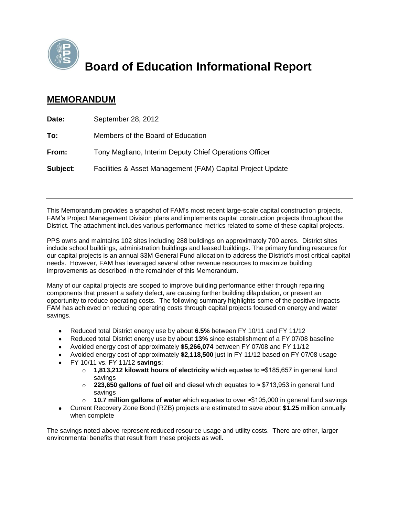

# **Board of Education Informational Report**

# **MEMORANDUM**

| Date:    | September 28, 2012                                         |
|----------|------------------------------------------------------------|
| To:      | Members of the Board of Education                          |
| From:    | Tony Magliano, Interim Deputy Chief Operations Officer     |
| Subject: | Facilities & Asset Management (FAM) Capital Project Update |

This Memorandum provides a snapshot of FAM's most recent large-scale capital construction projects. FAM's Project Management Division plans and implements capital construction projects throughout the District. The attachment includes various performance metrics related to some of these capital projects.

PPS owns and maintains 102 sites including 288 buildings on approximately 700 acres. District sites include school buildings, administration buildings and leased buildings. The primary funding resource for our capital projects is an annual \$3M General Fund allocation to address the District's most critical capital needs. However, FAM has leveraged several other revenue resources to maximize building improvements as described in the remainder of this Memorandum.

Many of our capital projects are scoped to improve building performance either through repairing components that present a safety defect, are causing further building dilapidation, or present an opportunity to reduce operating costs. The following summary highlights some of the positive impacts FAM has achieved on reducing operating costs through capital projects focused on energy and water savings.

- Reduced total District energy use by about **6.5%** between FY 10/11 and FY 11/12  $\bullet$
- Reduced total District energy use by about **13%** since establishment of a FY 07/08 baseline
- Avoided energy cost of approximately **\$5,266,074** between FY 07/08 and FY 11/12
- Avoided energy cost of approximately **\$2,118,500** just in FY 11/12 based on FY 07/08 usage
- FY 10/11 vs. FY 11/12 **savings**:
	- o **1,813,212 kilowatt hours of electricity** which equates to ≈\$185,657 in general fund savings
	- o **223,650 gallons of fuel oil** and diesel which equates to ≈ \$713,953 in general fund savings
	- o **10.7 million gallons of water** which equates to over ≈\$105,000 in general fund savings
- Current Recovery Zone Bond (RZB) projects are estimated to save about **\$1.25** million annually when complete

The savings noted above represent reduced resource usage and utility costs. There are other, larger environmental benefits that result from these projects as well.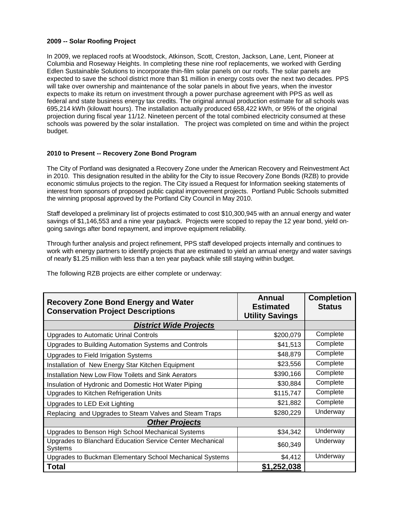#### **2009 -- Solar Roofing Project**

In 2009, we replaced roofs at Woodstock, Atkinson, Scott, Creston, Jackson, Lane, Lent, Pioneer at Columbia and Roseway Heights. In completing these nine roof replacements, we worked with Gerding Edlen Sustainable Solutions to incorporate thin-film solar panels on our roofs. The solar panels are expected to save the school district more than \$1 million in energy costs over the next two decades. PPS will take over ownership and maintenance of the solar panels in about five years, when the investor expects to make its return on investment through a power purchase agreement with PPS as well as federal and state business energy tax credits. The original annual production estimate for all schools was 695,214 kWh (kilowatt hours). The installation actually produced 658,422 kWh, or 95% of the original projection during fiscal year 11/12. Nineteen percent of the total combined electricity consumed at these schools was powered by the solar installation. The project was completed on time and within the project budget.

#### **2010 to Present -- Recovery Zone Bond Program**

The City of Portland was designated a Recovery Zone under the American Recovery and Reinvestment Act in 2010. This designation resulted in the ability for the City to issue Recovery Zone Bonds (RZB) to provide economic stimulus projects to the region. The City issued a Request for Information seeking statements of interest from sponsors of proposed public capital improvement projects. Portland Public Schools submitted the winning proposal approved by the Portland City Council in May 2010.

Staff developed a preliminary list of projects estimated to cost \$10,300,945 with an annual energy and water savings of \$1,146,553 and a nine year payback. Projects were scoped to repay the 12 year bond, yield ongoing savings after bond repayment, and improve equipment reliability.

Through further analysis and project refinement, PPS staff developed projects internally and continues to work with energy partners to identify projects that are estimated to yield an annual energy and water savings of nearly \$1.25 million with less than a ten year payback while still staying within budget.

| <b>Recovery Zone Bond Energy and Water</b><br><b>Conservation Project Descriptions</b> | Annual<br><b>Estimated</b><br><b>Utility Savings</b> | <b>Completion</b><br><b>Status</b> |
|----------------------------------------------------------------------------------------|------------------------------------------------------|------------------------------------|
| <b>District Wide Projects</b>                                                          |                                                      |                                    |
| <b>Upgrades to Automatic Urinal Controls</b>                                           | \$200,079                                            | Complete                           |
| Upgrades to Building Automation Systems and Controls                                   | \$41,513                                             | Complete                           |
| Upgrades to Field Irrigation Systems                                                   | \$48,879                                             | Complete                           |
| Installation of New Energy Star Kitchen Equipment                                      | \$23,556                                             | Complete                           |
| Installation New Low Flow Toilets and Sink Aerators                                    | \$390,166                                            | Complete                           |
| Insulation of Hydronic and Domestic Hot Water Piping                                   | \$30,884                                             | Complete                           |
| Upgrades to Kitchen Refrigeration Units                                                | \$115,747                                            | Complete                           |
| Upgrades to LED Exit Lighting                                                          | \$21,882                                             | Complete                           |
| Replacing and Upgrades to Steam Valves and Steam Traps                                 | \$280,229                                            | Underway                           |
| <b>Other Projects</b>                                                                  |                                                      |                                    |
| Upgrades to Benson High School Mechanical Systems                                      | \$34,342                                             | Underway                           |
| Upgrades to Blanchard Education Service Center Mechanical<br><b>Systems</b>            | \$60,349                                             | Underway                           |
| Upgrades to Buckman Elementary School Mechanical Systems                               | \$4,412                                              | Underway                           |
| <b>Total</b>                                                                           | \$1,252,038                                          |                                    |

The following RZB projects are either complete or underway: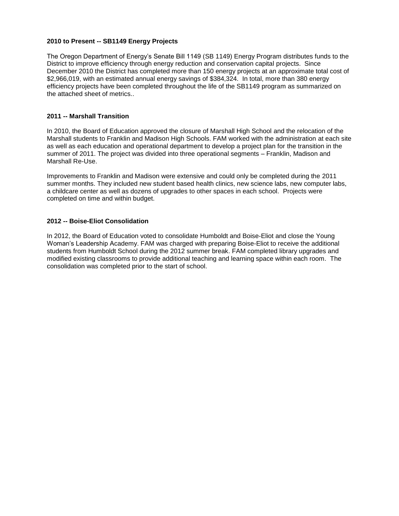#### **2010 to Present -- SB1149 Energy Projects**

The Oregon Department of Energy's Senate Bill 1149 (SB 1149) Energy Program distributes funds to the District to improve efficiency through energy reduction and conservation capital projects. Since December 2010 the District has completed more than 150 energy projects at an approximate total cost of \$2,966,019, with an estimated annual energy savings of \$384,324. In total, more than 380 energy efficiency projects have been completed throughout the life of the SB1149 program as summarized on the attached sheet of metrics..

#### **2011 -- Marshall Transition**

In 2010, the Board of Education approved the closure of Marshall High School and the relocation of the Marshall students to Franklin and Madison High Schools. FAM worked with the administration at each site as well as each education and operational department to develop a project plan for the transition in the summer of 2011. The project was divided into three operational segments – Franklin, Madison and Marshall Re-Use.

Improvements to Franklin and Madison were extensive and could only be completed during the 2011 summer months. They included new student based health clinics, new science labs, new computer labs, a childcare center as well as dozens of upgrades to other spaces in each school. Projects were completed on time and within budget.

#### **2012 -- Boise-Eliot Consolidation**

In 2012, the Board of Education voted to consolidate Humboldt and Boise-Eliot and close the Young Woman's Leadership Academy. FAM was charged with preparing Boise-Eliot to receive the additional students from Humboldt School during the 2012 summer break. FAM completed library upgrades and modified existing classrooms to provide additional teaching and learning space within each room. The consolidation was completed prior to the start of school.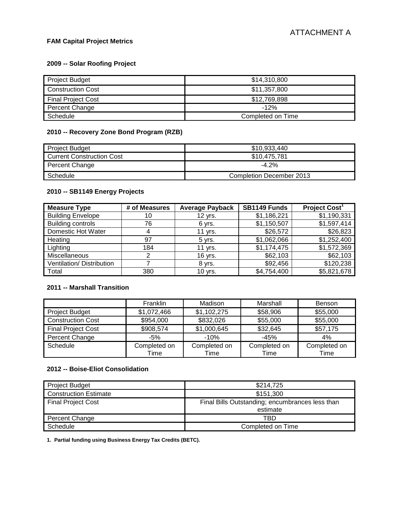# **FAM Capital Project Metrics**

# **2009 -- Solar Roofing Project**

| <b>Project Budget</b>     | \$14,310,800      |
|---------------------------|-------------------|
| <b>Construction Cost</b>  | \$11,357,800      |
| <b>Final Project Cost</b> | \$12,769,898      |
| Percent Change            | -12%              |
| Schedule                  | Completed on Time |

# **2010 -- Recovery Zone Bond Program (RZB)**

| <b>Project Budget</b>            | \$10,933,440                    |
|----------------------------------|---------------------------------|
| <b>Current Construction Cost</b> | \$10.475.781                    |
| Percent Change                   | $-4.2%$                         |
| Schedule                         | <b>Completion December 2013</b> |

# **2010 -- SB1149 Energy Projects**

| <b>Measure Type</b>       | # of Measures | <b>Average Payback</b> | SB1149 Funds | Project Cost <sup>1</sup> |
|---------------------------|---------------|------------------------|--------------|---------------------------|
| <b>Building Envelope</b>  | 10            | 12 yrs.                | \$1,186,221  | \$1,190,331               |
| <b>Building controls</b>  | 76            | 6 yrs.                 | \$1,150,507  | \$1,597,414               |
| Domestic Hot Water        | 4             | 11 yrs.                | \$26,572     | \$26,823                  |
| Heating                   | 97            | $5$ yrs.               | \$1,062,066  | \$1,252,400               |
| Lighting                  | 184           | 11 yrs.                | \$1,174,475  | \$1,572,369               |
| <b>Miscellaneous</b>      |               | 16 yrs.                | \$62,103     | \$62,103                  |
| Ventilation/ Distribution |               | 8 yrs.                 | \$92,456     | \$120,238                 |
| Total                     | 380           | 10 yrs.                | \$4,754,400  | \$5,821,678               |

# **2011 -- Marshall Transition**

|                           | <b>Franklin</b> | Madison      | Marshall     | <b>Benson</b> |
|---------------------------|-----------------|--------------|--------------|---------------|
| <b>Project Budget</b>     | \$1,072,466     | \$1,102,275  | \$58,906     | \$55,000      |
| <b>Construction Cost</b>  | \$954,000       | \$832,026    | \$55,000     | \$55,000      |
| <b>Final Project Cost</b> | \$908,574       | \$1,000,645  | \$32,645     | \$57,175      |
| Percent Change            | $-5%$           | $-10%$       | $-45%$       | 4%            |
| Schedule                  | Completed on    | Completed on | Completed on | Completed on  |
|                           | Time            | Time         | Time         | Time          |

#### **2012 -- Boise-Eliot Consolidation**

| <b>Project Budget</b>        | \$214,725                                                   |
|------------------------------|-------------------------------------------------------------|
| <b>Construction Estimate</b> | \$151.300                                                   |
| <b>Final Project Cost</b>    | Final Bills Outstanding; encumbrances less than<br>estimate |
| Percent Change               | TBD                                                         |
| Schedule                     | Completed on Time                                           |

**1. Partial funding using Business Energy Tax Credits (BETC).**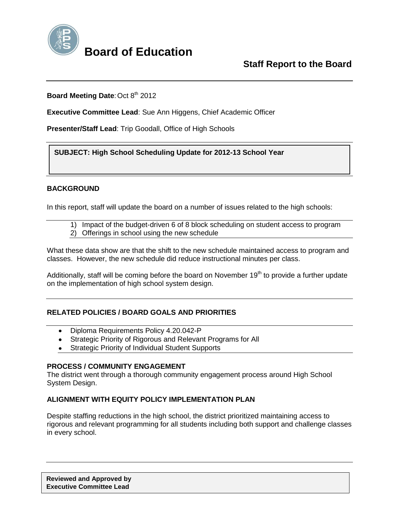

# **Board of Education**

## **Board Meeting Date: Oct 8th 2012**

**Executive Committee Lead**: Sue Ann Higgens, Chief Academic Officer

**Presenter/Staff Lead**: Trip Goodall, Office of High Schools

**SUBJECT: High School Scheduling Update for 2012-13 School Year** 

## **BACKGROUND**

In this report, staff will update the board on a number of issues related to the high schools:

- 1) Impact of the budget-driven 6 of 8 block scheduling on student access to program
- 2) Offerings in school using the new schedule

What these data show are that the shift to the new schedule maintained access to program and classes. However, the new schedule did reduce instructional minutes per class.

Additionally, staff will be coming before the board on November 19<sup>th</sup> to provide a further update on the implementation of high school system design.

## **RELATED POLICIES / BOARD GOALS AND PRIORITIES**

- Diploma Requirements Policy 4.20.042-P  $\bullet$
- Strategic Priority of Rigorous and Relevant Programs for All
- Strategic Priority of Individual Student Supports

## **PROCESS / COMMUNITY ENGAGEMENT**

The district went through a thorough community engagement process around High School System Design.

## **ALIGNMENT WITH EQUITY POLICY IMPLEMENTATION PLAN**

Despite staffing reductions in the high school, the district prioritized maintaining access to rigorous and relevant programming for all students including both support and challenge classes in every school.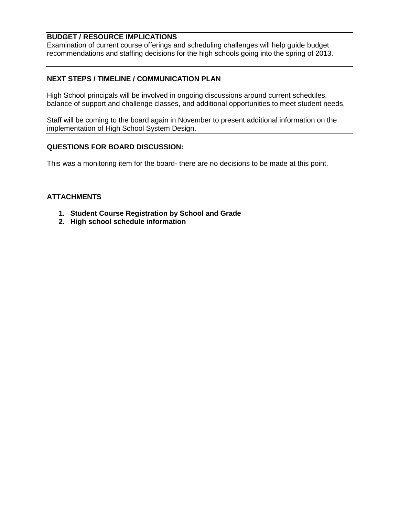# **BUDGET / RESOURCE IMPLICATIONS**

Examination of current course offerings and scheduling challenges will help guide budget recommendations and staffing decisions for the high schools going into the spring of 2013.

## **NEXT STEPS / TIMELINE / COMMUNICATION PLAN**

High School principals will be involved in ongoing discussions around current schedules, balance of support and challenge classes, and additional opportunities to meet student needs.

Staff will be coming to the board again in November to present additional information on the implementation of High School System Design.

### **QUESTIONS FOR BOARD DISCUSSION:**

This was a monitoring item for the board- there are no decisions to be made at this point.

### **ATTACHMENTS**

- **1. Student Course Registration by School and Grade**
- **2. High school schedule information**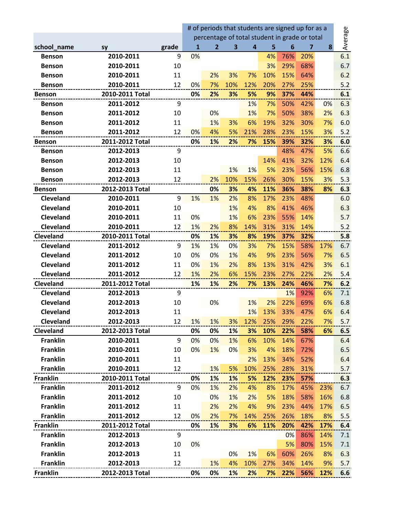|                  |                 |       | # of periods that students are signed up for as a |                                               |                         |                |     |     |     |            |         |
|------------------|-----------------|-------|---------------------------------------------------|-----------------------------------------------|-------------------------|----------------|-----|-----|-----|------------|---------|
|                  |                 |       |                                                   | percentage of total student in grade or total |                         |                |     |     |     |            | Average |
| school_name      | sy              | grade | 1                                                 | $\overline{2}$                                | $\overline{\mathbf{3}}$ | $\overline{4}$ | 5   | 6   | 7   | 8          |         |
| <b>Benson</b>    | 2010-2011       | 9     | 0%                                                |                                               |                         |                | 4%  | 76% | 20% |            | 6.1     |
| <b>Benson</b>    | 2010-2011       | 10    |                                                   |                                               |                         |                | 3%  | 29% | 68% |            | 6.7     |
| <b>Benson</b>    | 2010-2011       | 11    |                                                   | 2%                                            | 3%                      | 7%             | 10% | 15% | 64% |            | 6.2     |
| <b>Benson</b>    | 2010-2011       | 12    | 0%                                                | 7%                                            | 10%                     | 12%            | 20% | 27% | 25% |            | 5.2     |
| <b>Benson</b>    | 2010-2011 Total |       | 0%                                                | 2%                                            | 3%                      | 5%             | 9%  | 37% | 44% |            | 6.1     |
| <b>Benson</b>    | 2011-2012       | 9     |                                                   |                                               |                         | 1%             | 7%  | 50% | 42% | 0%         | 6.3     |
| <b>Benson</b>    | 2011-2012       | 10    |                                                   | 0%                                            |                         | 1%             | 7%  | 50% | 38% | 2%         | 6.3     |
| <b>Benson</b>    | 2011-2012       | 11    |                                                   | 1%                                            | 3%                      | 6%             | 19% | 32% | 30% | 7%         | 6.0     |
| <b>Benson</b>    | 2011-2012       | 12    | 0%                                                | 4%                                            | 5%                      | 21%            | 28% | 23% | 15% | 3%         | 5.2     |
| <b>Benson</b>    | 2011-2012 Total |       | 0%                                                | 1%                                            | 2%                      | 7%             | 15% | 39% | 32% | 3%         | 6.0     |
| <b>Benson</b>    | 2012-2013       | 9     |                                                   |                                               |                         |                |     | 48% | 47% | 5%         | 6.6     |
| <b>Benson</b>    | 2012-2013       | 10    |                                                   |                                               |                         |                | 14% | 41% | 32% | 12%        | 6.4     |
| <b>Benson</b>    | 2012-2013       | 11    |                                                   |                                               | 1%                      | 1%             | 5%  | 23% | 56% | 15%        | 6.8     |
| <b>Benson</b>    | 2012-2013       | 12    |                                                   | 2%                                            | 10%                     | 15%            | 26% | 30% | 15% | 3%         | 5.3     |
| <b>Benson</b>    | 2012-2013 Total |       |                                                   | 0%                                            | 3%                      | 4%             | 11% | 36% | 38% | 8%         | 6.3     |
| <b>Cleveland</b> | 2010-2011       | 9     | 1%                                                | 1%                                            | 2%                      | 8%             | 17% | 23% | 48% |            | 6.0     |
| Cleveland        | 2010-2011       | 10    |                                                   |                                               | 1%                      | 4%             | 8%  | 41% | 46% |            | 6.3     |
| Cleveland        | 2010-2011       | 11    | 0%                                                |                                               | 1%                      | 6%             | 23% | 55% | 14% |            | 5.7     |
| Cleveland        | 2010-2011       | 12    | 1%                                                | 2%                                            | 8%                      | 14%            | 31% | 31% | 14% |            | 5.2     |
| Cleveland        | 2010-2011 Total |       | 0%                                                | 1%                                            | 3%                      | 8%             | 19% | 37% | 32% |            | 5.8     |
| Cleveland        | 2011-2012       | 9     | 1%                                                | 1%                                            | 0%                      | 3%             | 7%  | 15% | 58% | 17%        | 6.7     |
| Cleveland        | 2011-2012       | 10    | 0%                                                | 0%                                            | 1%                      | 4%             | 9%  | 23% | 56% | 7%         | 6.5     |
| Cleveland        | 2011-2012       | 11    | 0%                                                | 1%                                            | 2%                      | 8%             | 13% | 31% | 42% | 3%         | 6.1     |
| Cleveland        | 2011-2012       | 12    | 1%                                                | 2%                                            | 6%                      | 15%            | 23% | 27% | 22% | 2%         | 5.4     |
| Cleveland        | 2011-2012 Total |       | 1%                                                | 1%                                            | 2%                      | 7%             | 13% | 24% | 46% | 7%         | 6.2     |
| Cleveland        | 2012-2013       | 9     |                                                   |                                               |                         |                |     | 1%  | 92% | 6%         | 7.1     |
| Cleveland        | 2012-2013       | 10    |                                                   | 0%                                            |                         | 1%             | 2%  | 22% | 69% | 6%         | 6.8     |
| Cleveland        | 2012-2013       | 11    |                                                   |                                               |                         | 1%             | 13% | 33% | 47% | 6%         | 6.4     |
| Cleveland        | 2012-2013       | 12    | 1%                                                | 1%                                            | 3%                      | 12%            | 25% | 29% | 22% | 7%         | 5.7     |
| Cleveland        | 2012-2013 Total |       | 0%                                                | 0%                                            | 1%                      | 3%             | 10% | 22% | 58% | 6%         | 6.5     |
| <b>Franklin</b>  | 2010-2011       | 9     | 0%                                                | 0%                                            | 1%                      | 6%             | 10% | 14% | 67% |            | 6.4     |
| <b>Franklin</b>  | 2010-2011       | 10    | 0%                                                | 1%                                            | 0%                      | 3%             | 4%  | 18% | 72% |            | 6.5     |
| <b>Franklin</b>  | 2010-2011       | 11    |                                                   |                                               |                         | 2%             | 13% | 34% | 52% |            | 6.4     |
| <b>Franklin</b>  | 2010-2011       | 12    |                                                   | 1%                                            | 5%                      | 10%            | 25% | 28% | 31% |            | 5.7     |
| <b>Franklin</b>  | 2010-2011 Total |       | 0%                                                | 1%                                            | 1%                      | 5%             | 12% | 23% | 57% |            | 6.3     |
| <b>Franklin</b>  | 2011-2012       | 9     | 0%                                                | 1%                                            | 2%                      | 4%             | 8%  | 17% | 45% | 23%        | 6.7     |
| <b>Franklin</b>  | 2011-2012       | 10    |                                                   | 0%                                            | 1%                      | 2%             | 5%  | 18% | 58% | 16%        | 6.8     |
| <b>Franklin</b>  | 2011-2012       | 11    |                                                   | 2%                                            | 2%                      | 4%             | 9%  | 23% | 44% | 17%        | 6.5     |
| Franklin         | 2011-2012       | 12    | 0%                                                | 2%                                            | 7%                      | 14%            | 25% | 26% | 18% | 8%         | 5.5     |
| <b>Franklin</b>  | 2011-2012 Total |       | 0%                                                | 1%                                            | 3%                      | 6%             | 11% | 20% | 42% | 17%        | 6.4     |
| <b>Franklin</b>  | 2012-2013       | 9     |                                                   |                                               |                         |                |     | 0%  | 86% | 14%        | 7.1     |
| <b>Franklin</b>  | 2012-2013       | 10    | 0%                                                |                                               |                         |                |     | 5%  | 80% | 15%        | 7.1     |
| <b>Franklin</b>  | 2012-2013       | 11    |                                                   |                                               | 0%                      | 1%             | 6%  | 60% | 26% | 8%         | 6.3     |
| <b>Franklin</b>  | 2012-2013       | 12    |                                                   | 1%                                            | 4%                      | 10%            | 27% | 34% | 14% | 9%         | 5.7     |
| <b>Franklin</b>  | 2012-2013 Total |       | 0%                                                | 0%                                            | 1%                      | 2%             | 7%  | 22% | 56% | <b>12%</b> | 6.6     |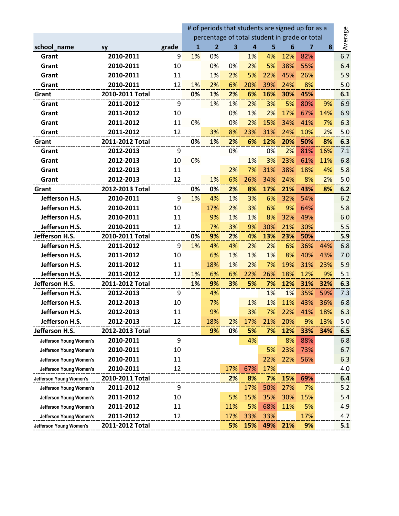|                         |                 |       | # of periods that students are signed up for as a |                                               |                         |                         |     |     |     |     |         |
|-------------------------|-----------------|-------|---------------------------------------------------|-----------------------------------------------|-------------------------|-------------------------|-----|-----|-----|-----|---------|
|                         |                 |       |                                                   | percentage of total student in grade or total |                         |                         |     |     |     |     | Average |
| school_name             | <b>SY</b>       | grade | 1                                                 | 2                                             | $\overline{\mathbf{3}}$ | $\overline{\mathbf{4}}$ | 5   | 6   | 7   | 8   |         |
| Grant                   | 2010-2011       | 9     | 1%                                                | 0%                                            |                         | 1%                      | 4%  | 12% | 82% |     | 6.7     |
| Grant                   | 2010-2011       | 10    |                                                   | 0%                                            | 0%                      | 2%                      | 5%  | 38% | 55% |     | 6.4     |
| Grant                   | 2010-2011       | 11    |                                                   | 1%                                            | 2%                      | 5%                      | 22% | 45% | 26% |     | 5.9     |
| Grant                   | 2010-2011       | 12    | 1%                                                | 2%                                            | 6%                      | 20%                     | 39% | 24% | 8%  |     | 5.0     |
| Grant                   | 2010-2011 Total |       | 0%                                                | 1%                                            | 2%                      | 6%                      | 16% | 30% | 45% |     | 6.1     |
| Grant                   | 2011-2012       | 9     |                                                   | 1%                                            | 1%                      | 2%                      | 3%  | 5%  | 80% | 9%  | 6.9     |
| Grant                   | 2011-2012       | 10    |                                                   |                                               | 0%                      | 1%                      | 2%  | 17% | 67% | 14% | 6.9     |
| Grant                   | 2011-2012       | 11    | 0%                                                |                                               | 0%                      | 2%                      | 15% | 34% | 41% | 7%  | 6.3     |
| Grant                   | 2011-2012       | 12    |                                                   | 3%                                            | 8%                      | 23%                     | 31% | 24% | 10% | 2%  | 5.0     |
| Grant                   | 2011-2012 Total |       | 0%                                                | 1%                                            | 2%                      | 6%                      | 12% | 20% | 50% | 8%  | 6.3     |
| Grant                   | 2012-2013       | 9     |                                                   |                                               | 0%                      |                         | 0%  | 2%  | 81% | 16% | 7.1     |
| Grant                   | 2012-2013       | 10    | 0%                                                |                                               |                         | 1%                      | 3%  | 23% | 61% | 11% | 6.8     |
| Grant                   | 2012-2013       | 11    |                                                   |                                               | 2%                      | 7%                      | 31% | 38% | 18% | 4%  | 5.8     |
| Grant                   | 2012-2013       | 12    |                                                   | 1%                                            | 6%                      | 26%                     | 34% | 24% | 8%  | 2%  | 5.0     |
| Grant                   | 2012-2013 Total |       | 0%                                                | 0%                                            | 2%                      | 8%                      | 17% | 21% | 43% | 8%  | 6.2     |
| Jefferson H.S.          | 2010-2011       | 9     | 1%                                                | 4%                                            | 1%                      | 3%                      | 6%  | 32% | 54% |     | 6.2     |
| Jefferson H.S.          | 2010-2011       | 10    |                                                   | 17%                                           | 2%                      | 3%                      | 6%  | 9%  | 64% |     | 5.8     |
| Jefferson H.S.          | 2010-2011       | 11    |                                                   | 9%                                            | 1%                      | 1%                      | 8%  | 32% | 49% |     | 6.0     |
| Jefferson H.S.          | 2010-2011       | 12    |                                                   | 7%                                            | 3%                      | 9%                      | 30% | 21% | 30% |     | 5.5     |
| Jefferson H.S.          | 2010-2011 Total |       | 0%                                                | 9%                                            | 2%                      | 4%                      | 13% | 23% | 50% |     | 5.9     |
| Jefferson H.S.          | 2011-2012       | 9     | 1%                                                | 4%                                            | 4%                      | 2%                      | 2%  | 6%  | 36% | 44% | 6.8     |
| Jefferson H.S.          | 2011-2012       | 10    |                                                   | 6%                                            | 1%                      | 1%                      | 1%  | 8%  | 40% | 43% | 7.0     |
| Jefferson H.S.          | 2011-2012       | 11    |                                                   | 18%                                           | 1%                      | 2%                      | 7%  | 19% | 31% | 23% | 5.9     |
| Jefferson H.S.          | 2011-2012       | 12    | 1%                                                | 6%                                            | 6%                      | 22%                     | 26% | 18% | 12% | 9%  | 5.1     |
| Jefferson H.S.          | 2011-2012 Total |       | 1%                                                | 9%                                            | 3%                      | 5%                      | 7%  | 12% | 31% | 32% | 6.3     |
| Jefferson H.S.          | 2012-2013       | 9     |                                                   | 4%                                            |                         |                         | 1%  | 1%  | 35% | 59% | 7.3     |
| Jefferson H.S.          | 2012-2013       | 10    |                                                   | 7%                                            |                         | 1%                      | 1%  | 11% | 43% | 36% | 6.8     |
| Jefferson H.S.          | 2012-2013       | 11    |                                                   | 9%                                            |                         | 3%                      | 7%  | 22% | 41% | 18% | 6.3     |
| Jefferson H.S.          | 2012-2013       | 12    |                                                   | 18%                                           | 2%                      | 17%                     | 21% | 20% | 9%  | 13% | 5.0     |
| Jefferson H.S.          | 2012-2013 Total |       |                                                   | 9%                                            | 0%                      | 5%                      | 7%  | 12% | 33% | 34% | 6.5     |
| Jefferson Young Women's | 2010-2011       | 9     |                                                   |                                               |                         | 4%                      |     | 8%  | 88% |     | 6.8     |
| Jefferson Young Women's | 2010-2011       | 10    |                                                   |                                               |                         |                         | 5%  | 23% | 73% |     | 6.7     |
| Jefferson Young Women's | 2010-2011       | 11    |                                                   |                                               |                         |                         | 22% | 22% | 56% |     | 6.3     |
| Jefferson Young Women's | 2010-2011       | 12    |                                                   |                                               | 17%                     | 67%                     | 17% |     |     |     | 4.0     |
| Jefferson Young Women's | 2010-2011 Total |       |                                                   |                                               | 2%                      | 8%                      | 7%  | 15% | 69% |     | 6.4     |
| Jefferson Young Women's | 2011-2012       | 9     |                                                   |                                               |                         | 17%                     | 50% | 27% | 7%  |     | 5.2     |
| Jefferson Young Women's | 2011-2012       | 10    |                                                   |                                               | 5%                      | 15%                     | 35% | 30% | 15% |     | 5.4     |
| Jefferson Young Women's | 2011-2012       | 11    |                                                   |                                               | 11%                     | 5%                      | 68% | 11% | 5%  |     | 4.9     |
| Jefferson Young Women's | 2011-2012       | 12    |                                                   |                                               | 17%                     | 33%                     | 33% |     | 17% |     | 4.7     |
| Jefferson Young Women's | 2011-2012 Total |       |                                                   |                                               | 5%                      | 15%                     | 49% | 21% | 9%  |     | 5.1     |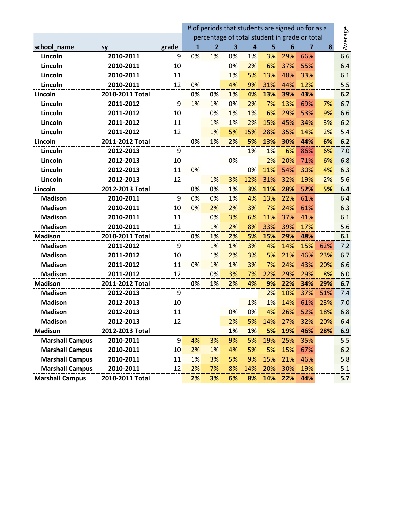|                        |                 |       | # of periods that students are signed up for as a |                |    |                         |     |     |         |     |     |
|------------------------|-----------------|-------|---------------------------------------------------|----------------|----|-------------------------|-----|-----|---------|-----|-----|
|                        |                 |       | percentage of total student in grade or total     |                |    |                         |     |     | Average |     |     |
| school_name            | <b>SY</b>       | grade | 1                                                 | $\overline{2}$ | 3  | $\overline{\mathbf{a}}$ | 5   | 6   | 7       | 8   |     |
| Lincoln                | 2010-2011       | 9     | 0%                                                | 1%             | 0% | 1%                      | 3%  | 29% | 66%     |     | 6.6 |
| Lincoln                | 2010-2011       | 10    |                                                   |                | 0% | 2%                      | 6%  | 37% | 55%     |     | 6.4 |
| Lincoln                | 2010-2011       | 11    |                                                   |                | 1% | 5%                      | 13% | 48% | 33%     |     | 6.1 |
| Lincoln                | 2010-2011       | 12    | 0%                                                |                | 4% | 9%                      | 31% | 44% | 12%     |     | 5.5 |
| Lincoln                | 2010-2011 Total |       | 0%                                                | 0%             | 1% | 4%                      | 13% | 39% | 43%     |     | 6.2 |
| Lincoln                | 2011-2012       | 9     | 1%                                                | 1%             | 0% | 2%                      | 7%  | 13% | 69%     | 7%  | 6.7 |
| Lincoln                | 2011-2012       | 10    |                                                   | 0%             | 1% | 1%                      | 6%  | 29% | 53%     | 9%  | 6.6 |
| Lincoln                | 2011-2012       | 11    |                                                   | 1%             | 1% | 2%                      | 15% | 45% | 34%     | 3%  | 6.2 |
| Lincoln                | 2011-2012       | 12    |                                                   | 1%             | 5% | 15%                     | 28% | 35% | 14%     | 2%  | 5.4 |
| Lincoln                | 2011-2012 Total |       | 0%                                                | 1%             | 2% | 5%                      | 13% | 30% | 44%     | 6%  | 6.2 |
| Lincoln                | 2012-2013       | 9     |                                                   |                |    | 1%                      | 1%  | 6%  | 86%     | 6%  | 7.0 |
| Lincoln                | 2012-2013       | 10    |                                                   |                | 0% |                         | 2%  | 20% | 71%     | 6%  | 6.8 |
| Lincoln                | 2012-2013       | 11    | 0%                                                |                |    | 0%                      | 11% | 54% | 30%     | 4%  | 6.3 |
| Lincoln                | 2012-2013       | 12    |                                                   | 1%             | 3% | 12%                     | 31% | 32% | 19%     | 2%  | 5.6 |
| Lincoln                | 2012-2013 Total |       | 0%                                                | 0%             | 1% | 3%                      | 11% | 28% | 52%     | 5%  | 6.4 |
| <b>Madison</b>         | 2010-2011       | 9     | 0%                                                | 0%             | 1% | 4%                      | 13% | 22% | 61%     |     | 6.4 |
| <b>Madison</b>         | 2010-2011       | 10    | 0%                                                | 2%             | 2% | 3%                      | 7%  | 24% | 61%     |     | 6.3 |
| <b>Madison</b>         | 2010-2011       | 11    |                                                   | 0%             | 3% | 6%                      | 11% | 37% | 41%     |     | 6.1 |
| <b>Madison</b>         | 2010-2011       | 12    |                                                   | 1%             | 2% | 8%                      | 33% | 39% | 17%     |     | 5.6 |
| <b>Madison</b>         | 2010-2011 Total |       | 0%                                                | 1%             | 2% | 5%                      | 15% | 29% | 48%     |     | 6.1 |
| <b>Madison</b>         | 2011-2012       | 9     |                                                   | 1%             | 1% | 3%                      | 4%  | 14% | 15%     | 62% | 7.2 |
| <b>Madison</b>         | 2011-2012       | 10    |                                                   | 1%             | 2% | 3%                      | 5%  | 21% | 46%     | 23% | 6.7 |
| <b>Madison</b>         | 2011-2012       | 11    | 0%                                                | 1%             | 1% | 3%                      | 7%  | 24% | 43%     | 20% | 6.6 |
| <b>Madison</b>         | 2011-2012       | 12    |                                                   | 0%             | 3% | 7%                      | 22% | 29% | 29%     | 8%  | 6.0 |
| <b>Madison</b>         | 2011-2012 Total |       | 0%                                                | 1%             | 2% | 4%                      | 9%  | 22% | 34%     | 29% | 6.7 |
| <b>Madison</b>         | 2012-2013       | 9     |                                                   |                |    |                         | 2%  | 10% | 37%     | 51% | 7.4 |
| <b>Madison</b>         | 2012-2013       | 10    |                                                   |                |    | 1%                      | 1%  | 14% | 61%     | 23% | 7.0 |
| <b>Madison</b>         | 2012-2013       | 11    |                                                   |                | 0% | 0%                      | 4%  | 26% | 52%     | 18% | 6.8 |
| <b>Madison</b>         | 2012-2013       | 12    |                                                   |                | 2% | 5%                      | 14% | 27% | 32%     | 20% | 6.4 |
| <b>Madison</b>         | 2012-2013 Total |       |                                                   |                | 1% | 1%                      | 5%  | 19% | 46%     | 28% | 6.9 |
| <b>Marshall Campus</b> | 2010-2011       | 9     | 4%                                                | 3%             | 9% | 5%                      | 19% | 25% | 35%     |     | 5.5 |
| <b>Marshall Campus</b> | 2010-2011       | 10    | 2%                                                | 1%             | 4% | 5%                      | 5%  | 15% | 67%     |     | 6.2 |
| <b>Marshall Campus</b> | 2010-2011       | 11    | 1%                                                | 3%             | 5% | 9%                      | 15% | 21% | 46%     |     | 5.8 |
| <b>Marshall Campus</b> | 2010-2011       | 12    | 2%                                                | 7%             | 8% | 14%                     | 20% | 30% | 19%     |     | 5.1 |
| <b>Marshall Campus</b> | 2010-2011 Total |       | 2%                                                | 3%             | 6% | 8%                      | 14% | 22% | 44%     |     | 5.7 |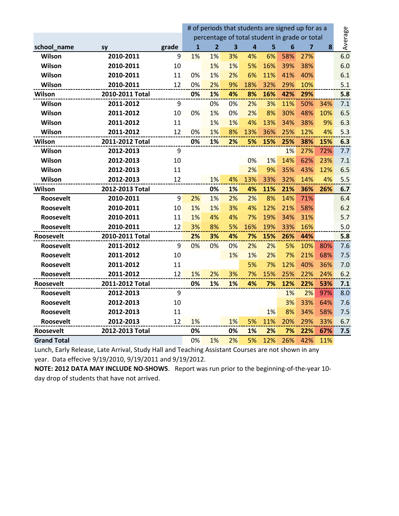|                    |                 |       | # of periods that students are signed up for as a |                |                         |                         |     |                 |                |         |     |
|--------------------|-----------------|-------|---------------------------------------------------|----------------|-------------------------|-------------------------|-----|-----------------|----------------|---------|-----|
|                    |                 |       | percentage of total student in grade or total     |                |                         |                         |     |                 |                | Average |     |
| school name        | <b>SV</b>       | grade | $\overline{1}$                                    | $\overline{2}$ | $\overline{\mathbf{3}}$ | $\overline{\mathbf{4}}$ | 5   | $6\phantom{1}6$ | $\overline{7}$ | 8       |     |
| Wilson             | 2010-2011       | 9     | 1%                                                | 1%             | 3%                      | 4%                      | 6%  | 58%             | 27%            |         | 6.0 |
| Wilson             | 2010-2011       | 10    |                                                   | 1%             | 1%                      | 5%                      | 16% | 39%             | 38%            |         | 6.0 |
| Wilson             | 2010-2011       | 11    | 0%                                                | 1%             | 2%                      | 6%                      | 11% | 41%             | 40%            |         | 6.1 |
| Wilson             | 2010-2011       | 12    | 0%                                                | 2%             | 9%                      | 18%                     | 32% | 29%             | 10%            |         | 5.1 |
| Wilson             | 2010-2011 Total |       | 0%                                                | 1%             | 4%                      | 8%                      | 16% | 42%             | 29%            |         | 5.8 |
| Wilson             | 2011-2012       | 9     |                                                   | 0%             | 0%                      | 2%                      | 3%  | 11%             | 50%            | 34%     | 7.1 |
| Wilson             | 2011-2012       | 10    | 0%                                                | 1%             | 0%                      | 2%                      | 8%  | 30%             | 48%            | 10%     | 6.5 |
| Wilson             | 2011-2012       | 11    |                                                   | 1%             | 1%                      | 4%                      | 13% | 34%             | 38%            | 9%      | 6.3 |
| Wilson             | 2011-2012       | 12    | 0%                                                | 1%             | 8%                      | 13%                     | 36% | 25%             | 12%            | 4%      | 5.3 |
| Wilson             | 2011-2012 Total |       | 0%                                                | 1%             | 2%                      | 5%                      | 15% | 25%             | 38%            | 15%     | 6.3 |
| Wilson             | 2012-2013       | 9     |                                                   |                |                         |                         |     | 1%              | 27%            | 72%     | 7.7 |
| Wilson             | 2012-2013       | 10    |                                                   |                |                         | 0%                      | 1%  | 14%             | 62%            | 23%     | 7.1 |
| Wilson             | 2012-2013       | 11    |                                                   |                |                         | 2%                      | 9%  | 35%             | 43%            | 12%     | 6.5 |
| Wilson             | 2012-2013       | 12    |                                                   | 1%             | 4%                      | 13%                     | 33% | 32%             | 14%            | 4%      | 5.5 |
| Wilson             | 2012-2013 Total |       |                                                   | 0%             | 1%                      | 4%                      | 11% | 21%             | 36%            | 26%     | 6.7 |
| <b>Roosevelt</b>   | 2010-2011       | 9     | 2%                                                | 1%             | 2%                      | 2%                      | 8%  | 14%             | 71%            |         | 6.4 |
| Roosevelt          | 2010-2011       | 10    | 1%                                                | 1%             | 3%                      | 4%                      | 12% | 21%             | 58%            |         | 6.2 |
| Roosevelt          | 2010-2011       | 11    | 1%                                                | 4%             | 4%                      | 7%                      | 19% | 34%             | 31%            |         | 5.7 |
| <b>Roosevelt</b>   | 2010-2011       | 12    | 3%                                                | 8%             | 5%                      | 16%                     | 19% | 33%             | 16%            |         | 5.0 |
| Roosevelt          | 2010-2011 Total |       | 2%                                                | 3%             | 4%                      | 7%                      | 15% | 26%             | 44%            |         | 5.8 |
| Roosevelt          | 2011-2012       | 9     | 0%                                                | 0%             | 0%                      | 2%                      | 2%  | 5%              | 10%            | 80%     | 7.6 |
| Roosevelt          | 2011-2012       | 10    |                                                   |                | 1%                      | 1%                      | 2%  | 7%              | 21%            | 68%     | 7.5 |
| Roosevelt          | 2011-2012       | 11    |                                                   |                |                         | 5%                      | 7%  | 12%             | 40%            | 36%     | 7.0 |
| <b>Roosevelt</b>   | 2011-2012       | 12    | 1%                                                | 2%             | 3%                      | 7%                      | 15% | 25%             | 22%            | 24%     | 6.2 |
| Roosevelt          | 2011-2012 Total |       | 0%                                                | 1%             | 1%                      | 4%                      | 7%  | 12%             | 22%            | 53%     | 7.1 |
| <b>Roosevelt</b>   | 2012-2013       | 9     |                                                   |                |                         |                         |     | 1%              | 2%             | 97%     | 8.0 |
| Roosevelt          | 2012-2013       | 10    |                                                   |                |                         |                         |     | 3%              | 33%            | 64%     | 7.6 |
| Roosevelt          | 2012-2013       | 11    |                                                   |                |                         |                         | 1%  | 8%              | 34%            | 58%     | 7.5 |
| <b>Roosevelt</b>   | 2012-2013       | 12    | 1%                                                |                | 1%                      | 5%                      | 11% | 20%             | 29%            | 33%     | 6.7 |
| Roosevelt          | 2012-2013 Total |       | 0%                                                |                | 0%                      | 1%                      | 2%  | 7%              | 22%            | 67%     | 7.5 |
| <b>Grand Total</b> |                 |       | 0%                                                | 1%             | 2%                      | 5%                      | 12% | 26%             | 42%            | 11%     |     |

Lunch, Early Release, Late Arrival, Study Hall and Teaching Assistant Courses are not shown in any year. Data effecive 9/19/2010, 9/19/2011 and 9/19/2012.

**NOTE: 2012 DATA MAY INCLUDE NO-SHOWS**. Report was run prior to the beginning-of-the-year 10 day drop of students that have not arrived.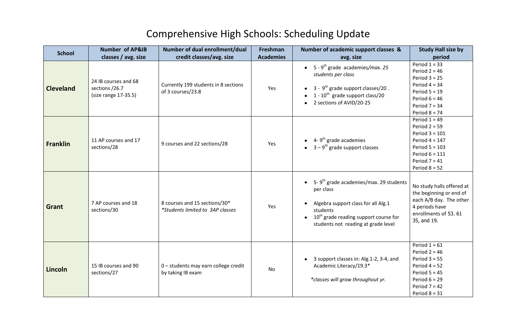# Comprehensive High Schools: Scheduling Update

| <b>School</b>    | <b>Number of AP&amp;IB</b>                                     | Number of dual enrollment/dual                                    | Freshman         | Number of academic support classes &                                                                                                                                                                 | <b>Study Hall size by</b>                                                                                                                                |
|------------------|----------------------------------------------------------------|-------------------------------------------------------------------|------------------|------------------------------------------------------------------------------------------------------------------------------------------------------------------------------------------------------|----------------------------------------------------------------------------------------------------------------------------------------------------------|
|                  | classes / avg. size                                            | credit classes/avg. size                                          | <b>Academies</b> | avg. size                                                                                                                                                                                            | period                                                                                                                                                   |
| <b>Cleveland</b> | 24 IB courses and 68<br>sections /26.7<br>(size range 17-35.5) | Currently 199 students in 8 sections<br>of 3 courses/23.8         | Yes              | 5 - 9 <sup>th</sup> grade academies/max. 25<br>students per class<br>$3 - 9$ <sup>th</sup> grade support classes/20.<br>1 - $10^{th}$ grade support class/20<br>2 sections of AVID/20-25             | Period $1 = 33$<br>Period $2 = 46$<br>Period $3 = 25$<br>Period $4 = 34$<br>Period $5 = 19$<br>Period $6 = 46$<br>Period $7 = 34$<br>Period $8 = 74$     |
| <b>Franklin</b>  | 11 AP courses and 17<br>sections/28                            | 9 courses and 22 sections/28                                      | Yes              | 4- $9th$ grade academies<br>$3 - 9$ <sup>th</sup> grade support classes                                                                                                                              | Period $1 = 49$<br>Period $2 = 59$<br>Period $3 = 101$<br>Period $4 = 147$<br>Period $5 = 103$<br>Period $6 = 111$<br>Period $7 = 41$<br>Period $8 = 52$ |
| Grant            | 7 AP courses and 18<br>sections/30                             | 8 courses and 15 sections/30*<br>*Students limited to 3AP classes | Yes              | 5-9 <sup>th</sup> grade academies/max. 29 students<br>per class<br>Algebra support class for all Alg.1<br>students<br>$10th$ grade reading support course for<br>students not reading at grade level | No study halls offered at<br>the beginning or end of<br>each A/B day. The other<br>4 periods have<br>enrollments of 53.61<br>35, and 19.                 |
| Lincoln          | 15 IB courses and 90<br>sections/27                            | 0 - students may earn college credit<br>by taking IB exam         | No               | 3 support classes in: Alg.1-2, 3-4, and<br>Academic Literacy/19.3*<br>*classes will grow throughout yr.                                                                                              | Period $1 = 61$<br>Period $2 = 46$<br>Period $3 = 55$<br>Period $4 = 52$<br>Period $5 = 45$<br>Period $6 = 29$<br>Period $7 = 42$<br>Period $8 = 31$     |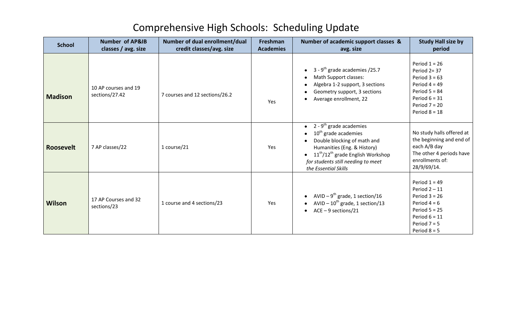# Comprehensive High Schools: Scheduling Update

| <b>School</b>  | <b>Number of AP&amp;IB</b><br>classes / avg. size | Number of dual enrollment/dual<br>credit classes/avg. size | Freshman<br><b>Academies</b> | Number of academic support classes &<br>avg. size                                                                                                                                                                                                     | <b>Study Hall size by</b><br>period                                                                                                               |
|----------------|---------------------------------------------------|------------------------------------------------------------|------------------------------|-------------------------------------------------------------------------------------------------------------------------------------------------------------------------------------------------------------------------------------------------------|---------------------------------------------------------------------------------------------------------------------------------------------------|
| <b>Madison</b> | 10 AP courses and 19<br>sections/27.42            | 7 courses and 12 sections/26.2                             | Yes                          | 3 - $9th$ grade academies /25.7<br>Math Support classes:<br>Algebra 1-2 support, 3 sections<br>Geometry support, 3 sections<br>Average enrollment, 22                                                                                                 | Period $1 = 26$<br>Period 2= 37<br>Period $3 = 63$<br>Period $4 = 49$<br>Period $5 = 84$<br>Period $6 = 31$<br>Period $7 = 20$<br>Period $8 = 18$ |
| Roosevelt      | 7 AP classes/22                                   | 1 course/21                                                | Yes                          | • 2 - $9^{\text{th}}$ grade academies<br>$10th$ grade academies<br>Double blocking of math and<br>Humanities (Eng. & History)<br>$11^{\text{th}}/12^{\text{th}}$ grade English Workshop<br>for students still needing to meet<br>the Essential Skills | No study halls offered at<br>the beginning and end of<br>each A/B day<br>The other 4 periods have<br>enrollments of:<br>28/9/69/14.               |
| <b>Wilson</b>  | 17 AP Courses and 32<br>sections/23               | 1 course and 4 sections/23                                 | Yes                          | AVID – $9^{th}$ grade, 1 section/16<br>AVID $-10^{th}$ grade, 1 section/13<br>$ACE - 9$ sections/21                                                                                                                                                   | Period $1 = 49$<br>Period $2 - 11$<br>Period $3 = 26$<br>Period $4 = 6$<br>Period $5 = 25$<br>Period $6 = 11$<br>Period $7 = 5$<br>Period $8 = 5$ |